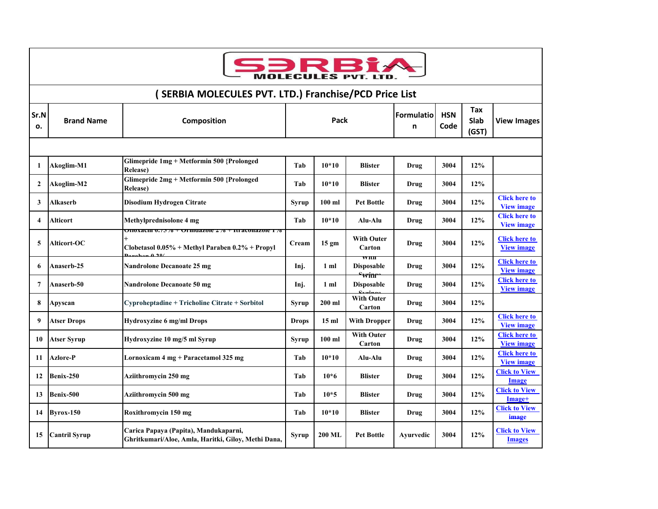

| SERBIA MOLECULES PVT. LTD.) Franchise/PCD Price List |                      |                                                                                                                      |              |                  |                                                            |                 |                    |                      |                                           |  |
|------------------------------------------------------|----------------------|----------------------------------------------------------------------------------------------------------------------|--------------|------------------|------------------------------------------------------------|-----------------|--------------------|----------------------|-------------------------------------------|--|
| Sr.N<br>о.                                           | <b>Brand Name</b>    | Composition                                                                                                          | Pack         |                  |                                                            | Formulatio<br>n | <b>HSN</b><br>Code | Tax<br>Slab<br>(GST) | <b>View Images</b>                        |  |
|                                                      |                      |                                                                                                                      |              |                  |                                                            |                 |                    |                      |                                           |  |
| 1                                                    | Akoglim-M1           | Glimepride 1mg + Metformin 500 {Prolonged<br><b>Release</b> )                                                        | Tab          | $10*10$          | <b>Blister</b>                                             | Drug            | 3004               | 12%                  |                                           |  |
| $\overline{2}$                                       | Akoglim-M2           | Glimepride 2mg + Metformin 500 {Prolonged<br><b>Release</b> )                                                        | Tab          | $10*10$          | <b>Blister</b>                                             | Drug            | 3004               | 12%                  |                                           |  |
| 3                                                    | Alkaserb             | Disodium Hydrogen Citrate                                                                                            | Syrup        | $100$ ml         | <b>Pet Bottle</b>                                          | Drug            | 3004               | 12%                  | <b>Click here to</b><br><b>View image</b> |  |
| $\overline{\mathbf{4}}$                              | Alticort             | Methylprednisolone 4 mg                                                                                              | Tab          | $10*10$          | Alu-Alu                                                    | Drug            | 3004               | 12%                  | <b>Click here to</b><br><b>View image</b> |  |
| 5                                                    | Alticort-OC          | <u>JHOXACIII 0.7570 † UFIIIuazoie 270 † Itfaconazoie 17</u><br>Clobetasol $0.05\%$ + Methyl Paraben $0.2\%$ + Propyl | Cream        | 15 <sub>gm</sub> | <b>With Outer</b><br>Carton                                | Drug            | 3004               | 12%                  | <b>Click here to</b><br><b>View image</b> |  |
| 6                                                    | Anaserb-25           | <b>Nandrolone Decanoate 25 mg</b>                                                                                    | Inj.         | 1 ml             | VV IUI<br><b>Disposable</b><br><del><sup>s</sup>winr</del> | Drug            | 3004               | 12%                  | <b>Click here to</b><br><b>View image</b> |  |
| 7                                                    | Anaserb-50           | <b>Nandrolone Decanoate 50 mg</b>                                                                                    | Inj.         | 1 ml             | <b>Disposable</b>                                          | Drug            | 3004               | 12%                  | <b>Click here to</b><br><b>View image</b> |  |
| 8                                                    | Apyscan              | Cyproheptadine + Tricholine Citrate + Sorbitol                                                                       | Syrup        | $200$ ml         | <b>With Outer</b><br>Carton                                | Drug            | 3004               | 12%                  |                                           |  |
| 9                                                    | <b>Atser Drops</b>   | <b>Hydroxyzine 6 mg/ml Drops</b>                                                                                     | <b>Drops</b> | 15 <sub>ml</sub> | <b>With Dropper</b>                                        | Drug            | 3004               | 12%                  | <b>Click here to</b><br><b>View image</b> |  |
| 10                                                   | <b>Atser Syrup</b>   | Hydroxyzine 10 mg/5 ml Syrup                                                                                         | Syrup        | $100$ ml         | <b>With Outer</b><br>Carton                                | Drug            | 3004               | 12%                  | <b>Click here to</b><br><b>View image</b> |  |
| 11                                                   | Azlore-P             | Lornoxicam 4 mg + Paracetamol 325 mg                                                                                 | Tab          | $10*10$          | Alu-Alu                                                    | Drug            | 3004               | 12%                  | <b>Click here to</b><br><b>View image</b> |  |
| 12                                                   | Benix-250            | Aziithromycin 250 mg                                                                                                 | Tab          | $10*6$           | <b>Blister</b>                                             | Drug            | 3004               | 12%                  | <b>Click to View</b><br>Image             |  |
| 13                                                   | Benix-500            | Aziithromycin 500 mg                                                                                                 | Tab          | $10*5$           | <b>Blister</b>                                             | Drug            | 3004               | 12%                  | <b>Click to View</b><br>Image+            |  |
| 14                                                   | $Byrox-150$          | Roxithromycin 150 mg                                                                                                 | Tab          | $10*10$          | <b>Blister</b>                                             | Drug            | 3004               | 12%                  | <b>Click to View</b><br>image             |  |
| 15                                                   | <b>Cantril Syrup</b> | Carica Papaya (Papita), Mandukaparni,<br>Ghritkumari/Aloe, Amla, Haritki, Giloy, Methi Dana,                         | <b>Syrup</b> | <b>200 ML</b>    | <b>Pet Bottle</b>                                          | Ayurvedic       | 3004               | 12%                  | <b>Click to View</b><br><b>Images</b>     |  |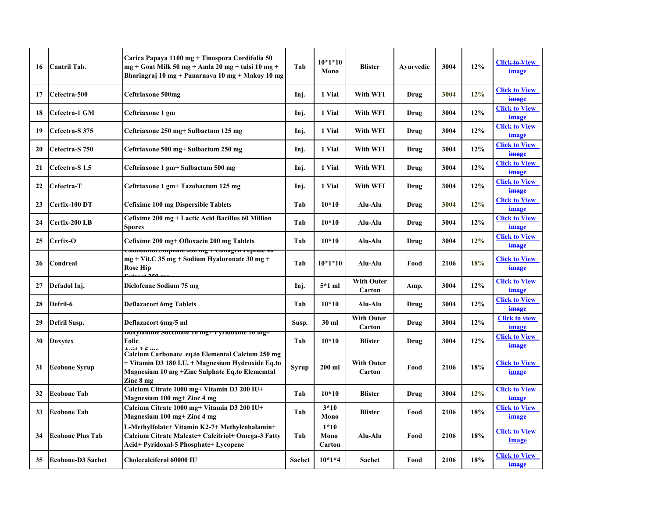| 16 | Cantril Tab.              | Carica Papaya 1100 mg + Tinospora Cordifolia 50<br>mg + Goat Milk 50 mg + Amla 20 mg + tulsi 10 mg +<br>Bharingraj 10 mg + Punarnaya 10 mg + Makoy 10 mg              | Tab           | $10*1*10$<br>Mono        | <b>Blister</b>              | Ayurvedic | 3004 | 12% | <b>Click to View</b><br>image        |
|----|---------------------------|-----------------------------------------------------------------------------------------------------------------------------------------------------------------------|---------------|--------------------------|-----------------------------|-----------|------|-----|--------------------------------------|
| 17 | Cefectra-500              | Ceftriaxone 500mg                                                                                                                                                     | Inj.          | 1 Vial                   | With WFI                    | Drug      | 3004 | 12% | <b>Click to View</b><br>image        |
| 18 | Cefectra-1 GM             | Ceftriaxone 1 gm                                                                                                                                                      | Inj.          | 1 Vial                   | With WFI                    | Drug      | 3004 | 12% | <b>Click to View</b><br>image        |
| 19 | Cefectra-S 375            | Ceftriaxone 250 mg+ Sulbactum 125 mg                                                                                                                                  | Inj.          | 1 Vial                   | With WFI                    | Drug      | 3004 | 12% | <b>Click to View</b><br>image        |
| 20 | Cefectra-S 750            | Ceftriaxone 500 mg+ Sulbactum 250 mg                                                                                                                                  | Inj.          | 1 Vial                   | With WFI                    | Drug      | 3004 | 12% | <b>Click to View</b><br>image        |
| 21 | Cefectra-S <sub>1.5</sub> | Ceftriaxone 1 gm+ Sulbactum 500 mg                                                                                                                                    | Inj.          | 1 Vial                   | With WFI                    | Drug      | 3004 | 12% | <b>Click to View</b><br>image        |
| 22 | Cefectra-T                | Ceftriaxone 1 gm+ Tazobactum 125 mg                                                                                                                                   | Inj.          | 1 Vial                   | With WFI                    | Drug      | 3004 | 12% | <b>Click to View</b><br>image        |
| 23 | Cerfix-100 DT             | <b>Cefixime 100 mg Dispersible Tablets</b>                                                                                                                            | Tab           | $10*10$                  | Alu-Alu                     | Drug      | 3004 | 12% | <b>Click to View</b><br>image        |
| 24 | Cerfix-200 LB             | Cefixime 200 mg + Lactic Acid Bacillus 60 Million<br>Spores                                                                                                           | Tab           | $10*10$                  | Alu-Alu                     | Drug      | 3004 | 12% | <b>Click to View</b><br>image        |
| 25 | Cerfix-O                  | Cefixime 200 mg+ Ofloxacin 200 mg Tablets                                                                                                                             | Tab           | $10*10$                  | Alu-Alu                     | Drug      | 3004 | 12% | <b>Click to View</b><br>image        |
| 26 | Condreal                  | Chongoith Suiphate 200 mg + Conagen i epilge 40<br>$mg + Vit.C$ 35 mg + Sodium Hyaluronate 30 mg +<br><b>Rose Hip</b>                                                 | Tab           | $10*1*10$                | Alu-Alu                     | Food      | 2106 | 18% | <b>Click to View</b><br>image        |
| 27 | Defadol Inj.              | Diclofenac Sodium 75 mg                                                                                                                                               | Inj.          | $5*1$ ml                 | <b>With Outer</b><br>Carton | Amp.      | 3004 | 12% | <b>Click to View</b><br>image        |
| 28 | Defril-6                  | <b>Deflazacort 6mg Tablets</b>                                                                                                                                        | Tab           | $10*10$                  | Alu-Alu                     | Drug      | 3004 | 12% | <b>Click to View</b><br>image        |
| 29 | Defril Susp.              | Deflazacort 6mg/5 ml                                                                                                                                                  | Susp.         | 30 ml                    | <b>With Outer</b><br>Carton | Drug      | 3004 | 12% | <b>Click to view</b><br>image        |
| 30 | <b>Doxytex</b>            | рохуганине мессипате то пірт і угіцохине то пірт<br>Folic                                                                                                             | Tab           | $10*10$                  | <b>Blister</b>              | Drug      | 3004 | 12% | <b>Click to View</b><br>image        |
| 31 | <b>Ecobone Syrup</b>      | Calcium Carbonate eq.to Elemental Calcium 250 mg<br>+ Vitamin D3 180 I.U. + Magnesium Hydroxide Eq.to<br>Magnesium 10 mg + Zinc Sulphate Eq.to Elememtal<br>Zinc 8 mg | Syrup         | $200$ ml                 | <b>With Outer</b><br>Carton | Food      | 2106 | 18% | <b>Click to View</b><br><u>image</u> |
| 32 | <b>Ecobone Tab</b>        | Calcium Citrate 1000 mg+ Vitamin D3 200 IU+<br>Magnesium 100 mg+ Zinc 4 mg                                                                                            | Tab           | $10*10$                  | <b>Blister</b>              | Drug      | 3004 | 12% | <b>Click to View</b><br>image        |
| 33 | <b>Ecobone Tab</b>        | Calcium Citrate 1000 mg+ Vitamin D3 200 IU+<br>Magnesium 100 mg+ Zinc 4 mg                                                                                            | Tab           | $3*10$<br>Mono           | <b>Blister</b>              | Food      | 2106 | 18% | <b>Click to View</b><br>image        |
| 34 | <b>Ecobone Plus Tab</b>   | L-Methylfolate+ Vitamin K2-7+ Methylcobalamin+<br>Calcium Citrate Maleate+ Calcitriol+ Omega-3 Fatty<br>Acid+ Pyridoxal-5 Phosphate+ Lycopene                         | Tab           | $1*10$<br>Mono<br>Carton | Alu-Alu                     | Food      | 2106 | 18% | <b>Click to View</b><br>Image        |
| 35 | <b>Ecobone-D3 Sachet</b>  | Cholecalciferol 60000 IU                                                                                                                                              | <b>Sachet</b> | $10*1*4$                 | Sachet                      | Food      | 2106 | 18% | <b>Click to View</b><br>image        |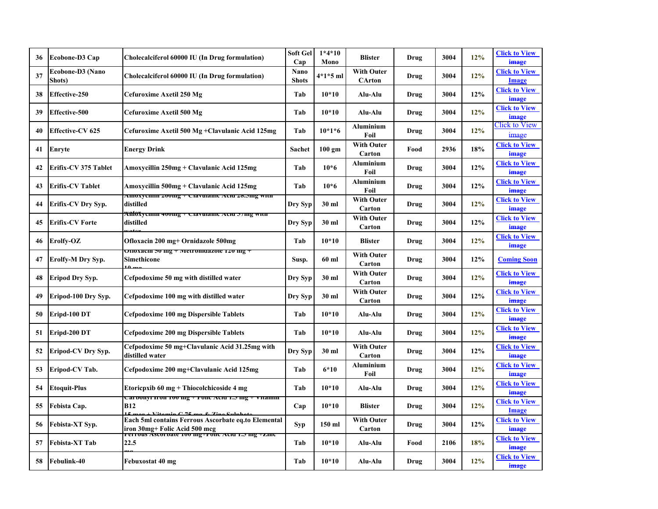| 36 | Ecobone-D3 Cap             | Cholecalciferol 60000 IU (In Drug formulation)                                                                                         | Soft Gel<br>Cap             | $1*4*10$<br>Mono | <b>Blister</b>                     | Drug | 3004 | 12% | <b>Click to View</b><br>image        |
|----|----------------------------|----------------------------------------------------------------------------------------------------------------------------------------|-----------------------------|------------------|------------------------------------|------|------|-----|--------------------------------------|
| 37 | Ecobone-D3 (Nano<br>Shots) | Cholecalciferol 60000 IU (In Drug formulation)                                                                                         | <b>Nano</b><br><b>Shots</b> | 4*1*5 ml         | <b>With Outer</b><br><b>CArton</b> | Drug | 3004 | 12% | <b>Click to View</b><br>Image        |
| 38 | <b>Effective-250</b>       | Cefuroxime Axetil 250 Mg                                                                                                               | Tab                         | $10*10$          | Alu-Alu                            | Drug | 3004 | 12% | <b>Click to View</b><br>image        |
| 39 | Effective-500              | Cefuroxime Axetil 500 Mg                                                                                                               | Tab                         | $10*10$          | Alu-Alu                            | Drug | 3004 | 12% | <b>Click to View</b><br>image        |
| 40 | <b>Effective-CV 625</b>    | Cefuroxime Axetil 500 Mg +Clavulanic Acid 125mg                                                                                        | Tab                         | $10*1*6$         | <b>Aluminium</b><br>Foil           | Drug | 3004 | 12% | Click to View<br>image               |
| 41 | Enryte                     | Energy Drink                                                                                                                           | Sachet                      | $100 \text{ gm}$ | <b>With Outer</b><br>Carton        | Food | 2936 | 18% | <b>Click to View</b><br>image        |
| 42 | Erifix-CV 375 Tablet       | Amoxycillin 250mg + Clavulanic Acid 125mg                                                                                              | Tab                         | $10*6$           | <b>Aluminium</b><br>Foil           | Drug | 3004 | 12% | <b>Click to View</b><br>image        |
| 43 | <b>Erifix-CV Tablet</b>    | Amoxycillin 500mg + Clavulanic Acid 125mg                                                                                              | Tab                         | $10*6$           | <b>Aluminium</b><br>Foil           | Drug | 3004 | 12% | <b>Click to View</b><br><b>image</b> |
| 44 | <b>Erifix-CV Dry Syp.</b>  | AMOXYCHIIII 2001112 + Ciavuianic Aciu 20.51112 with<br>distilled                                                                       | Dry Syp                     | 30 ml            | <b>With Outer</b><br>Carton        | Drug | 3004 | 12% | <b>Click to View</b><br>image        |
| 45 | Erifix-CV Forte            | <del>AfifôXyennii 400nig + Ciavuianic Aciu 57nig with</del><br>distilled                                                               | Dry Syp                     | 30 ml            | <b>With Outer</b><br>Carton        | Drug | 3004 | 12% | <b>Click to View</b><br>image        |
| 46 | Erolfy-OZ                  | Ofloxacin 200 mg+ Ornidazole 500mg                                                                                                     | Tab                         | $10*10$          | <b>Blister</b>                     | Drug | 3004 | 12% | <b>Click to View</b><br>image        |
| 47 | <b>Erolfy-M Dry Syp.</b>   | onoxacin əv mg + ivietromuazoie 120 mg<br>Simethicone                                                                                  | Susp.                       | 60 ml            | <b>With Outer</b><br>Carton        | Drug | 3004 | 12% | <b>Coming Soon</b>                   |
| 48 | <b>Eripod Dry Syp.</b>     | Cefpodoxime 50 mg with distilled water                                                                                                 | Dry Syp                     | 30 ml            | <b>With Outer</b><br>Carton        | Drug | 3004 | 12% | <b>Click to View</b><br>image        |
| 49 | Eripod-100 Dry Syp.        | Cefpodoxime 100 mg with distilled water                                                                                                | Dry Syp                     | 30 ml            | <b>With Outer</b><br>Carton        | Drug | 3004 | 12% | <b>Click to View</b><br>image        |
| 50 | Eripd-100 DT               | Cefpodoxime 100 mg Dispersible Tablets                                                                                                 | Tab                         | $10*10$          | Alu-Alu                            | Drug | 3004 | 12% | <b>Click to View</b><br>image        |
| 51 | Eripd-200 DT               | Cefpodoxime 200 mg Dispersible Tablets                                                                                                 | Tab                         | $10*10$          | Alu-Alu                            | Drug | 3004 | 12% | <b>Click to View</b><br>image        |
| 52 | <b>Eripod-CV Dry Syp.</b>  | Cefpodoxime 50 mg+Clavulanic Acid 31.25mg with<br>distilled water                                                                      | Dry Syp                     | 30 ml            | <b>With Outer</b><br>Carton        | Drug | 3004 | 12% | <b>Click to View</b><br>image        |
| 53 | Eripod-CV Tab.             | Cefpodoxime 200 mg+Clavulanic Acid 125mg                                                                                               | Tab                         | $6*10$           | <b>Aluminium</b><br>Foil           | Drug | 3004 | 12% | <b>Click to View</b><br>image        |
| 54 | <b>Etoquit-Plus</b>        | Etoricpxib 60 mg + Thiocolchicoside 4 mg                                                                                               | Tab                         | $10*10$          | Alu-Alu                            | Drug | 3004 | 12% | <b>Click to View</b><br>image        |
| 55 | Febista Cap.               | Cardonyi iron 100 mg ⊤ гонс Aciu 1.5 mg ⊤<br>уцашш<br><b>B12</b><br>$\overline{\phantom{a}}$                                           | Cap                         | $10*10$          | <b>Blister</b>                     | Drug | 3004 | 12% | <b>Click to View</b><br>Image        |
| 56 | Febista-XT Syp.            | Each 5ml contains Ferrous Ascorbate eq.to Elemental<br>iron 30mg+ Folic Acid 500 mcg<br>rerrous Ascorbate roo mg+ronc Acid 1.5 mg +zmc | Syp                         | 150 ml           | <b>With Outer</b><br>Carton        | Drug | 3004 | 12% | <b>Click to View</b><br>image        |
| 57 | Febista-XT Tab             | 22.5                                                                                                                                   | Tab                         | $10*10$          | Alu-Alu                            | Food | 2106 | 18% | <b>Click to View</b><br><b>image</b> |
| 58 | <b>Febulink-40</b>         | Febuxostat 40 mg                                                                                                                       | Tab                         | $10*10$          | Alu-Alu                            | Drug | 3004 | 12% | <b>Click to View</b><br><b>image</b> |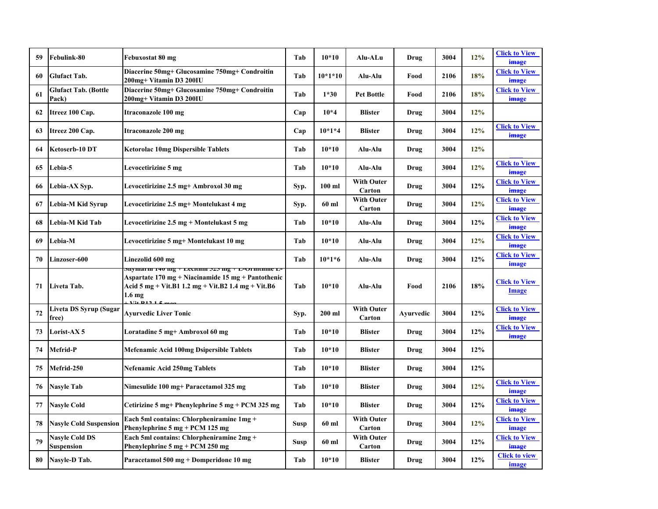| 59 | <b>Febulink-80</b>                   | Febuxostat 80 mg                                                                                                                                                                | Tab         | $10*10$   | Alu-ALu                     | Drug      | 3004 | 12%    | <b>Click to View</b><br>image |
|----|--------------------------------------|---------------------------------------------------------------------------------------------------------------------------------------------------------------------------------|-------------|-----------|-----------------------------|-----------|------|--------|-------------------------------|
| 60 | <b>Glufact Tab.</b>                  | Diacerine 50mg+ Glucosamine 750mg+ Condroitin<br>200mg+ Vitamin D3 200IU                                                                                                        | Tab         | $10*1*10$ | Alu-Alu                     | Food      | 2106 | 18%    | <b>Click to View</b><br>image |
| 61 | <b>Glufact Tab. (Bottle</b><br>Pack) | Diacerine 50mg+ Glucosamine 750mg+ Condroitin<br>200mg+ Vitamin D3 200IU                                                                                                        | Tab         | $1*30$    | <b>Pet Bottle</b>           | Food      | 2106 | 18%    | <b>Click to View</b><br>image |
| 62 | Itreez 100 Cap.                      | Itraconazole 100 mg                                                                                                                                                             | Cap         | $10*4$    | <b>Blister</b>              | Drug      | 3004 | 12%    |                               |
| 63 | Itreez 200 Cap.                      | Itraconazole 200 mg                                                                                                                                                             | Cap         | $10*1*4$  | <b>Blister</b>              | Drug      | 3004 | 12%    | <b>Click to View</b><br>image |
| 64 | Ketoserb-10 DT                       | <b>Ketorolac 10mg Dispersible Tablets</b>                                                                                                                                       | Tab         | $10*10$   | Alu-Alu                     | Drug      | 3004 | 12%    |                               |
| 65 | Lebia-5                              | Levocetirizine 5 mg                                                                                                                                                             | Tab         | $10*10$   | Alu-Alu                     | Drug      | 3004 | 12%    | <b>Click to View</b><br>image |
| 66 | Lebia-AX Syp.                        | Levocetirizine 2.5 mg+ Ambroxol 30 mg                                                                                                                                           | Syp.        | $100$ ml  | <b>With Outer</b><br>Carton | Drug      | 3004 | 12%    | <b>Click to View</b><br>image |
| 67 | Lebia-M Kid Syrup                    | Levocetirizine 2.5 mg+ Montelukast 4 mg                                                                                                                                         | Syp.        | 60 ml     | <b>With Outer</b><br>Carton | Drug      | 3004 | 12%    | <b>Click to View</b><br>image |
| 68 | Lebia-M Kid Tab                      | Levocetirizine 2.5 mg + Montelukast 5 mg                                                                                                                                        | Tab         | $10*10$   | Alu-Alu                     | Drug      | 3004 | 12%    | <b>Click to View</b><br>image |
| 69 | <b>Lebia-M</b>                       | Levocetirizine 5 mg+ Montelukast 10 mg                                                                                                                                          | Tab         | $10*10$   | Alu-Alu                     | Drug      | 3004 | 12%    | <b>Click to View</b><br>image |
| 70 | Linzoser-600                         | Linezolid 600 mg                                                                                                                                                                | Tab         | $10*1*6$  | Alu-Alu                     | Drug      | 3004 | 12%    | <b>Click to View</b><br>image |
| 71 | Liveta Tab.                          | Shymarm 140 mg + Lectumi 325 mg + L-Ormunne L-<br>Aspartate 170 mg + Niacinamide 15 mg + Pantothenic<br>Acid 5 mg + Vit.B1 1.2 mg + Vit.B2 1.4 mg + Vit.B6<br>1.6 <sub>mg</sub> | Tab         | $10*10$   | Alu-Alu                     | Food      | 2106 | 18%    | <b>Click to View</b><br>Image |
| 72 | Liveta DS Syrup (Sugar<br>free)      | Ayurvedic Liver Tonic                                                                                                                                                           | Syp.        | $200$ ml  | <b>With Outer</b><br>Carton | Ayurvedic | 3004 | 12%    | <b>Click to View</b><br>image |
| 73 | <b>Lorist-AX 5</b>                   | Loratadine 5 mg+ Ambroxol 60 mg                                                                                                                                                 | Tab         | $10*10$   | <b>Blister</b>              | Drug      | 3004 | 12%    | <b>Click to View</b><br>image |
| 74 | Mefrid-P                             | <b>Mefenamic Acid 100mg Dsipersible Tablets</b>                                                                                                                                 | Tab         | $10*10$   | <b>Blister</b>              | Drug      | 3004 | 12%    |                               |
| 75 | Mefrid-250                           | Nefenamic Acid 250mg Tablets                                                                                                                                                    | Tab         | $10*10$   | <b>Blister</b>              | Drug      | 3004 | 12%    |                               |
| 76 | <b>Nasyle Tab</b>                    | Nimesulide 100 mg+ Paracetamol 325 mg                                                                                                                                           | Tab         | $10*10$   | <b>Blister</b>              | Drug      | 3004 | 12%    | <b>Click to View</b><br>image |
| 77 | <b>Nasyle Cold</b>                   | Cetirizine 5 mg+ Phenylephrine 5 mg + PCM 325 mg                                                                                                                                | Tab         | $10*10$   | <b>Blister</b>              | Drug      | 3004 | $12\%$ | <b>Click to View</b><br>image |
| 78 | <b>Nasyle Cold Suspension</b>        | Each 5ml contains: Chlorpheniramine 1mg +<br>Phenylephrine $5 \text{ mg} + \text{PCM } 125 \text{ mg}$                                                                          | <b>Susp</b> | 60 ml     | <b>With Outer</b><br>Carton | Drug      | 3004 | 12%    | <b>Click to View</b><br>image |
| 79 | <b>Nasyle Cold DS</b><br>Suspension  | Each 5ml contains: Chlorpheniramine 2mg +<br>Phenylephrine $5 \text{ mg} + \text{PCM } 250 \text{ mg}$                                                                          | <b>Susp</b> | 60 ml     | <b>With Outer</b><br>Carton | Drug      | 3004 | 12%    | <b>Click to View</b><br>image |
| 80 | Nasyle-D Tab.                        | Paracetamol 500 mg + Domperidone 10 mg                                                                                                                                          | Tab         | $10*10$   | <b>Blister</b>              | Drug      | 3004 | 12%    | <b>Click to view</b><br>image |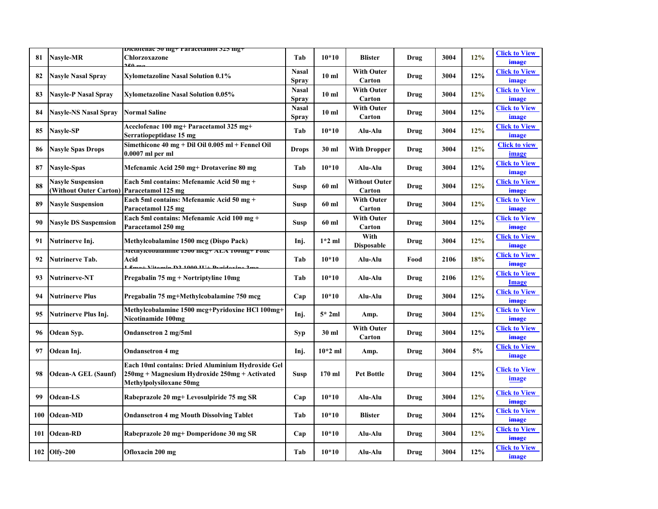|     |                                                           | <b>Diciolenac э</b> о mg+1 агасеtаmог э2э mg+                                                                                 |                              |                 |                                |      |      |     |                                      |
|-----|-----------------------------------------------------------|-------------------------------------------------------------------------------------------------------------------------------|------------------------------|-----------------|--------------------------------|------|------|-----|--------------------------------------|
| 81  | <b>Nasyle-MR</b>                                          | Chlorzoxazone                                                                                                                 | Tab                          | $10*10$         | <b>Blister</b>                 | Drug | 3004 | 12% | <b>Click to View</b><br>image        |
| 82  | <b>Nasyle Nasal Spray</b>                                 | <b>Xylometazoline Nasal Solution 0.1%</b>                                                                                     | <b>Nasal</b><br><b>Spray</b> | 10 <sub>m</sub> | <b>With Outer</b><br>Carton    | Drug | 3004 | 12% | <b>Click to View</b><br>image        |
| 83  | <b>Nasyle-P Nasal Spray</b>                               | <b>Xylometazoline Nasal Solution 0.05%</b>                                                                                    | <b>Nasal</b><br><b>Spray</b> | 10 <sub>m</sub> | <b>With Outer</b><br>Carton    | Drug | 3004 | 12% | <b>Click to View</b><br>image        |
| 84  | <b>Nasyle-NS Nasal Spray</b>                              | <b>Normal Saline</b>                                                                                                          | <b>Nasal</b><br><b>Spray</b> | 10 <sub>m</sub> | <b>With Outer</b><br>Carton    | Drug | 3004 | 12% | <b>Click to View</b><br>image        |
| 85  | <b>Nasyle-SP</b>                                          | Aceclofenac 100 mg+ Paracetamol 325 mg+<br>Serratiopeptidase 15 mg                                                            | Tab                          | $10*10$         | Alu-Alu                        | Drug | 3004 | 12% | <b>Click to View</b><br>image        |
| 86  | <b>Nasyle Spas Drops</b>                                  | Simethicone $40 \text{ mg} + \text{Dil}$ Oil 0.005 ml + Fennel Oil<br>$0.0007$ ml per ml                                      | <b>Drops</b>                 | 30 ml           | <b>With Dropper</b>            | Drug | 3004 | 12% | <b>Click to view</b><br>image        |
| 87  | <b>Nasyle-Spas</b>                                        | Mefenamic Acid 250 mg+ Drotaverine 80 mg                                                                                      | Tab                          | $10*10$         | Alu-Alu                        | Drug | 3004 | 12% | <b>Click to View</b><br>image        |
| 88  | <b>Nasyle Suspension</b><br><b>(Without Outer Carton)</b> | Each 5ml contains: Mefenamic Acid 50 mg +<br>Paracetamol 125 mg                                                               | Susp                         | 60 ml           | <b>Without Outer</b><br>Carton | Drug | 3004 | 12% | <b>Click to View</b><br>image        |
| 89  | <b>Nasyle Suspension</b>                                  | Each 5ml contains: Mefenamic Acid 50 mg +<br>Paracetamol 125 mg                                                               | Susp                         | 60 ml           | <b>With Outer</b><br>Carton    | Drug | 3004 | 12% | <b>Click to View</b><br>image        |
| 90  | <b>Nasyle DS Suspemsion</b>                               | Each 5ml contains: Mefenamic Acid 100 mg +<br>Paracetamol 250 mg                                                              | Susp                         | 60 ml           | <b>With Outer</b><br>Carton    | Drug | 3004 | 12% | <b>Click to View</b><br>image        |
| 91  | Nutrinerve Inj.                                           | Methylcobalamine 1500 mcg (Dispo Pack)                                                                                        | Inj.                         | $1*2$ ml        | With<br><b>Disposable</b>      | Drug | 3004 | 12% | <b>Click to View</b><br>image        |
| 92  | <b>Nutrinerve Tab.</b>                                    | менгуковагание 1500 шкg+ ALA 100шg+ гонс<br>Acid<br>. D.2. 1.000 III. D.                                                      | Tab                          | $10*10$         | Alu-Alu                        | Food | 2106 | 18% | <b>Click to View</b><br>image        |
| 93  | <b>Nutrinerve-NT</b>                                      | Pregabalin 75 mg + Nortriptyline 10mg                                                                                         | Tab                          | $10*10$         | Alu-Alu                        | Drug | 2106 | 12% | <b>Click to View</b><br><b>Image</b> |
| 94  | <b>Nutrinerve Plus</b>                                    | Pregabalin 75 mg+Methylcobalamine 750 mcg                                                                                     | Cap                          | $10*10$         | Alu-Alu                        | Drug | 3004 | 12% | <b>Click to View</b><br>image        |
| 95  | Nutrinerve Plus Inj.                                      | Methylcobalamine 1500 mcg+Pyridoxine HCl 100mg+<br>Nicotinamide 100mg                                                         | Inj.                         | $5*2ml$         | Amp.                           | Drug | 3004 | 12% | <b>Click to View</b><br>image        |
| 96  | Odean Syp.                                                | Ondansetron 2 mg/5ml                                                                                                          | <b>Syp</b>                   | 30 ml           | <b>With Outer</b><br>Carton    | Drug | 3004 | 12% | <b>Click to View</b><br>image        |
| 97  | Odean Inj.                                                | <b>Ondansetron 4 mg</b>                                                                                                       | Inj.                         | $10*2$ ml       | Amp.                           | Drug | 3004 | 5%  | <b>Click to View</b><br>image        |
| 98  | <b>Odean-A GEL (Saunf)</b>                                | Each 10ml contains: Dried Aluminium Hydroxide Gel<br>250mg + Magnesium Hydroxide 250mg + Activated<br>Methylpolysiloxane 50mg | Susp                         | $170$ ml        | <b>Pet Bottle</b>              | Drug | 3004 | 12% | <b>Click to View</b><br>image        |
| 99  | Odean-LS                                                  | Rabeprazole 20 mg+ Levosulpiride 75 mg SR                                                                                     | Cap                          | $10*10$         | Alu-Alu                        | Drug | 3004 | 12% | <b>Click to View</b><br>image        |
| 100 | <b>Odean-MD</b>                                           | <b>Ondansetron 4 mg Mouth Dissolving Tablet</b>                                                                               | Tab                          | $10*10$         | <b>Blister</b>                 | Drug | 3004 | 12% | <b>Click to View</b><br>image        |
| 101 | <b>Odean-RD</b>                                           | Rabeprazole 20 mg+ Domperidone 30 mg SR                                                                                       | Cap                          | $10*10$         | Alu-Alu                        | Drug | 3004 | 12% | <b>Click to View</b><br>image        |
|     | 102 Olfy-200                                              | Ofloxacin 200 mg                                                                                                              | Tab                          | $10*10$         | Alu-Alu                        | Drug | 3004 | 12% | <b>Click to View</b><br>image        |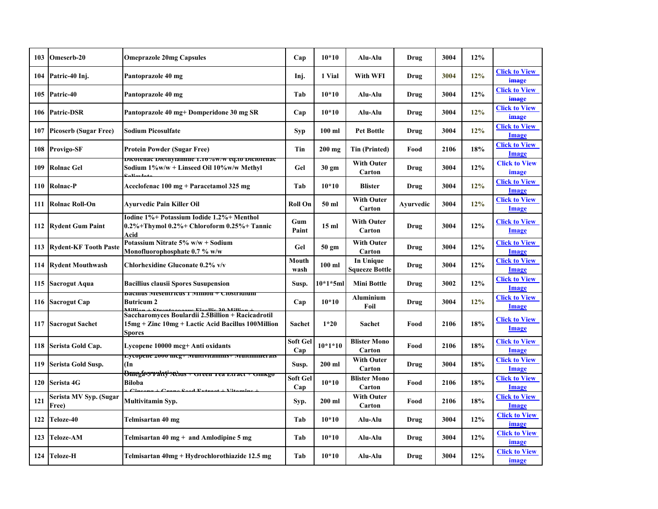| 103 | Omeserb-20                      | <b>Omeprazole 20mg Capsules</b>                                                                                           | Cap             | $10*10$          | Alu-Alu                                   | Drug      | 3004 | 12%    |                                      |
|-----|---------------------------------|---------------------------------------------------------------------------------------------------------------------------|-----------------|------------------|-------------------------------------------|-----------|------|--------|--------------------------------------|
| 104 | Patric-40 Inj.                  | Pantoprazole 40 mg                                                                                                        | Inj.            | 1 Vial           | With WFI                                  | Drug      | 3004 | 12%    | <b>Click to View</b><br>image        |
| 105 | Patric-40                       | Pantoprazole 40 mg                                                                                                        | Tab             | $10*10$          | Alu-Alu                                   | Drug      | 3004 | 12%    | <b>Click to View</b><br>image        |
|     | 106 Patric-DSR                  | Pantoprazole 40 mg+ Domperidone 30 mg SR                                                                                  | Cap             | $10*10$          | Alu-Alu                                   | Drug      | 3004 | 12%    | <b>Click to View</b><br>image        |
| 107 | <b>Picoserb (Sugar Free)</b>    | <b>Sodium Picosulfate</b>                                                                                                 | Syp             | $100$ ml         | <b>Pet Bottle</b>                         | Drug      | 3004 | 12%    | <b>Click to View</b><br>Image        |
| 108 | <b>Provigo-SF</b>               | <b>Protein Powder (Sugar Free)</b>                                                                                        | Tin             | $200$ mg         | <b>Tin (Printed)</b>                      | Food      | 2106 | 18%    | <b>Click to View</b><br><b>Image</b> |
| 109 | <b>Rolnac Gel</b>               | Dicolenac Diethylanniie 1.10 %w/w eq.to Diciolenac<br>Sodium 1%w/w + Linseed Oil 10%w/w Methyl                            | Gel             | 30 gm            | <b>With Outer</b><br>Carton               | Drug      | 3004 | 12%    | <b>Click to View</b><br>image        |
| 110 | <b>Rolnac-P</b>                 | Aceclofenac 100 mg + Paracetamol 325 mg                                                                                   | Tab             | $10*10$          | <b>Blister</b>                            | Drug      | 3004 | 12%    | <b>Click to View</b><br>Image        |
| 111 | <b>Rolnac Roll-On</b>           | Ayurvedic Pain Killer Oil                                                                                                 | <b>Roll On</b>  | 50 ml            | <b>With Outer</b><br>Carton               | Ayurvedic | 3004 | 12%    | <b>Click to View</b><br>Image        |
|     | 112 Rydent Gum Paint            | Iodine 1%+ Potassium Iodide 1.2%+ Menthol<br>0.2%+Thymol $0.2%$ + Chloroform 0.25%+ Tannic<br>Acid                        | Gum<br>Paint    | 15 <sub>ml</sub> | <b>With Outer</b><br>Carton               | Drug      | 3004 | 12%    | <b>Click to View</b><br>Image        |
|     | 113 Rydent-KF Tooth Paste       | Potassium Nitrate 5% w/w + Sodium<br>Monofluorophosphate 0.7 % w/w                                                        | Gel             | 50 gm            | <b>With Outer</b><br>Carton               | Drug      | 3004 | $12\%$ | <b>Click to View</b><br><b>Image</b> |
|     | 114 Rydent Mouthwash            | Chlorhexidine Gluconate 0.2% v/v                                                                                          | Mouth<br>wash   | $100$ ml         | <b>In Unique</b><br><b>Squeeze Bottle</b> | Drug      | 3004 | 12%    | <b>Click to View</b><br><b>Image</b> |
| 115 | <b>Sacrogut Aqua</b>            | <b>Bacillius clausii Spores Susupension</b>                                                                               | Susp.           | $10*1*5m$        | <b>Mini Bottle</b>                        | Drug      | 3002 | 12%    | <b>Click to View</b><br>Image        |
|     | 116 Sacrogut Cap                | dachius (viesentricus 1 (vinnon + Clostriuium<br><b>Butricum 2</b>                                                        | Cap             | $10*10$          | <b>Aluminium</b><br>Foil                  | Drug      | 3004 | 12%    | <b>Click to View</b><br>Image        |
| 117 | <b>Sacrogut Sachet</b>          | Saccharomyces Boulardii 2.5 Billion + Racicadrotil<br>15mg + Zinc 10mg + Lactic Acid Bacillus 100Million<br><b>Spores</b> | <b>Sachet</b>   | $1*20$           | Sachet                                    | Food      | 2106 | 18%    | <b>Click to View</b><br>Image        |
|     | 118 Serista Gold Cap.           | Lycopene 10000 mcg+ Anti oxidants                                                                                         | Soft Gel<br>Cap | $10*1*10$        | <b>Blister Mono</b><br>Carton             | Food      | 2106 | 18%    | <b>Click to View</b><br><b>Image</b> |
| 119 | Serista Gold Susp.              | ∟усорене 2000 шсg⊤ імпінунаннну⊤ імпініннегаіз<br>$\ln$                                                                   | Susp.           | $200$ ml         | <b>With Outer</b><br>Carton               | Drug      | 3004 | 18%    | <b>Click to View</b><br><b>Image</b> |
| 120 | <b>Serista 4G</b>               | <del>Omega-3 rahiy adus + Green Tea Etract + Ginkgo</del><br><b>Biloba</b>                                                | Soft Gel<br>Cap | $10*10$          | <b>Blister Mono</b><br>Carton             | Food      | 2106 | 18%    | <b>Click to View</b><br>Image        |
| 121 | Serista MV Syp. (Sugar<br>Free) | Multivitamin Syp.                                                                                                         | Syp.            | $200$ ml         | <b>With Outer</b><br>Carton               | Food      | 2106 | 18%    | <b>Click to View</b><br>Image        |
| 122 | Teloze-40                       | Telmisartan 40 mg                                                                                                         | Tab             | $10*10$          | Alu-Alu                                   | Drug      | 3004 | 12%    | <b>Click to View</b><br>image        |
| 123 | <b>Teloze-AM</b>                | Telmisartan $40 \text{ mg} +$ and Amlodipine 5 mg                                                                         | Tab             | $10*10$          | Alu-Alu                                   | Drug      | 3004 | 12%    | <b>Click to View</b><br>image        |
|     | 124 Teloze-H                    | Telmisartan 40mg + Hydrochlorothiazide 12.5 mg                                                                            | Tab             | $10*10$          | Alu-Alu                                   | Drug      | 3004 | 12%    | <b>Click to View</b><br>image        |